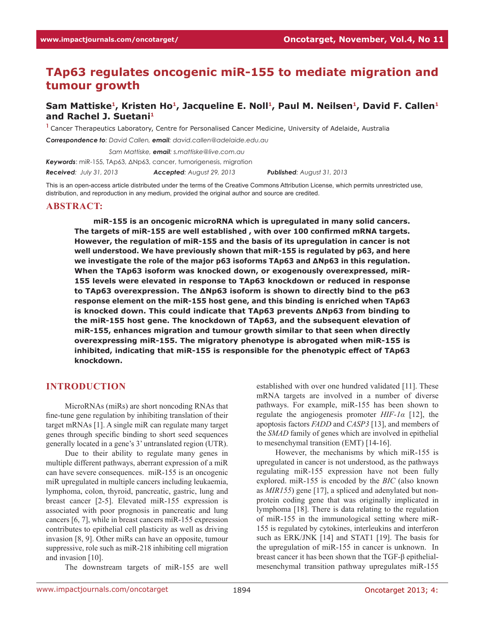# **TAp63 regulates oncogenic miR-155 to mediate migration and tumour growth**

## Sam Mattiske<sup>1</sup>, Kristen Ho<sup>1</sup>, Jacqueline E. Noll<sup>1</sup>, Paul M. Neilsen<sup>1</sup>, David F. Callen<sup>1</sup> **and Rachel J. Suetani1**

**<sup>1</sup>**Cancer Therapeutics Laboratory, Centre for Personalised Cancer Medicine, University of Adelaide, Australia

*Correspondence to: David Callen, email: david.callen@adelaide.edu.au*

*Correspondence to: Sam Mattiske, email: s.mattiske@live.com.au*

*Keywords*: miR-155, TAp63, ΔNp63, cancer, tumorigenesis, migration

*Received: July 31, 2013 Accepted: August 29, 2013 Published: August 31, 2013*

This is an open-access article distributed under the terms of the Creative Commons Attribution License, which permits unrestricted use, distribution, and reproduction in any medium, provided the original author and source are credited.

#### **ABSTRACT:**

**miR-155 is an oncogenic microRNA which is upregulated in many solid cancers. The targets of miR-155 are well established , with over 100 confirmed mRNA targets. However, the regulation of miR-155 and the basis of its upregulation in cancer is not well understood. We have previously shown that miR-155 is regulated by p63, and here we investigate the role of the major p63 isoforms TAp63 and ΔNp63 in this regulation. When the TAp63 isoform was knocked down, or exogenously overexpressed, miR-155 levels were elevated in response to TAp63 knockdown or reduced in response to TAp63 overexpression. The ΔNp63 isoform is shown to directly bind to the p63 response element on the miR-155 host gene, and this binding is enriched when TAp63 is knocked down. This could indicate that TAp63 prevents ΔNp63 from binding to the miR-155 host gene. The knockdown of TAp63, and the subsequent elevation of miR-155, enhances migration and tumour growth similar to that seen when directly overexpressing miR-155. The migratory phenotype is abrogated when miR-155 is inhibited, indicating that miR-155 is responsible for the phenotypic effect of TAp63 knockdown.**

#### **INTRODUCTION**

MicroRNAs (miRs) are short noncoding RNAs that fine-tune gene regulation by inhibiting translation of their target mRNAs [1]. A single miR can regulate many target genes through specific binding to short seed sequences generally located in a gene's 3' untranslated region (UTR).

Due to their ability to regulate many genes in multiple different pathways, aberrant expression of a miR can have severe consequences. miR-155 is an oncogenic miR upregulated in multiple cancers including leukaemia, lymphoma, colon, thyroid, pancreatic, gastric, lung and breast cancer [2-5]. Elevated miR-155 expression is associated with poor prognosis in pancreatic and lung cancers [6, 7], while in breast cancers miR-155 expression contributes to epithelial cell plasticity as well as driving invasion [8, 9]. Other miRs can have an opposite, tumour suppressive, role such as miR-218 inhibiting cell migration and invasion [10].

The downstream targets of miR-155 are well

established with over one hundred validated [11]. These mRNA targets are involved in a number of diverse pathways. For example, miR-155 has been shown to regulate the angiogenesis promoter *HIF-1α* [12], the apoptosis factors *FADD* and *CASP3* [13], and members of the *SMAD* family of genes which are involved in epithelial to mesenchymal transition (EMT) [14-16].

However, the mechanisms by which miR-155 is upregulated in cancer is not understood, as the pathways regulating miR-155 expression have not been fully explored. miR-155 is encoded by the *BIC* (also known as *MIR155*) gene [17], a spliced and adenylated but nonprotein coding gene that was originally implicated in lymphoma [18]. There is data relating to the regulation of miR-155 in the immunological setting where miR-155 is regulated by cytokines, interleukins and interferon such as ERK/JNK [14] and STAT1 [19]. The basis for the upregulation of miR-155 in cancer is unknown. In breast cancer it has been shown that the TGF-β epithelialmesenchymal transition pathway upregulates miR-155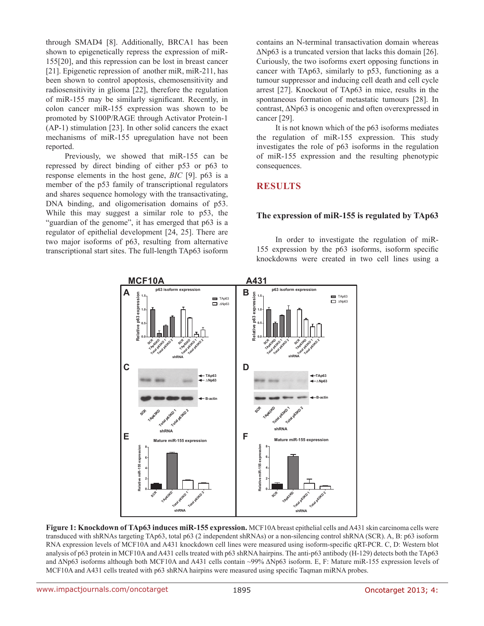through SMAD4 [8]. Additionally, BRCA1 has been shown to epigenetically repress the expression of miR-155[20], and this repression can be lost in breast cancer [21]. Epigenetic repression of another miR, miR-211, has been shown to control apoptosis, chemosensitivity and radiosensitivity in glioma [22], therefore the regulation of miR-155 may be similarly significant. Recently, in colon cancer miR-155 expression was shown to be promoted by S100P/RAGE through Activator Protein-1 (AP-1) stimulation [23]. In other solid cancers the exact mechanisms of miR-155 upregulation have not been reported.

Previously, we showed that miR-155 can be repressed by direct binding of either p53 or p63 to response elements in the host gene, *BIC* [9]. p63 is a member of the p53 family of transcriptional regulators and shares sequence homology with the transactivating, DNA binding, and oligomerisation domains of p53. While this may suggest a similar role to p53, the "guardian of the genome", it has emerged that p63 is a regulator of epithelial development [24, 25]. There are two major isoforms of p63, resulting from alternative transcriptional start sites. The full-length TAp63 isoform contains an N-terminal transactivation domain whereas  $\Delta$ Np63 is a truncated version that lacks this domain [26]. Curiously, the two isoforms exert opposing functions in cancer with TAp63, similarly to p53, functioning as a tumour suppressor and inducing cell death and cell cycle arrest [27]. Knockout of TAp63 in mice, results in the spontaneous formation of metastatic tumours [28]. In contrast, ΔNp63 is oncogenic and often overexpressed in cancer [29].

It is not known which of the p63 isoforms mediates the regulation of miR-155 expression. This study investigates the role of p63 isoforms in the regulation of miR-155 expression and the resulting phenotypic consequences.

## **RESULTS**

### **The expression of miR-155 is regulated by TAp63**

In order to investigate the regulation of miR-155 expression by the p63 isoforms, isoform specific knockdowns were created in two cell lines using a



**Figure 1: Knockdown of TAp63 induces miR-155 expression.** MCF10A breast epithelial cells and A431 skin carcinoma cells were transduced with shRNAs targeting TAp63, total p63 (2 independent shRNAs) or a non-silencing control shRNA (SCR). A, B: p63 isoform RNA expression levels of MCF10A and A431 knockdown cell lines were measured using isoform-specific qRT-PCR. C, D: Western blot analysis of p63 protein in MCF10A and A431 cells treated with p63 shRNA hairpins. The anti-p63 antibody (H-129) detects both the TAp63 and ΔNp63 isoforms although both MCF10A and A431 cells contain ~99% ΔNp63 isoform. E, F: Mature miR-155 expression levels of MCF10A and A431 cells treated with p63 shRNA hairpins were measured using specific Taqman miRNA probes.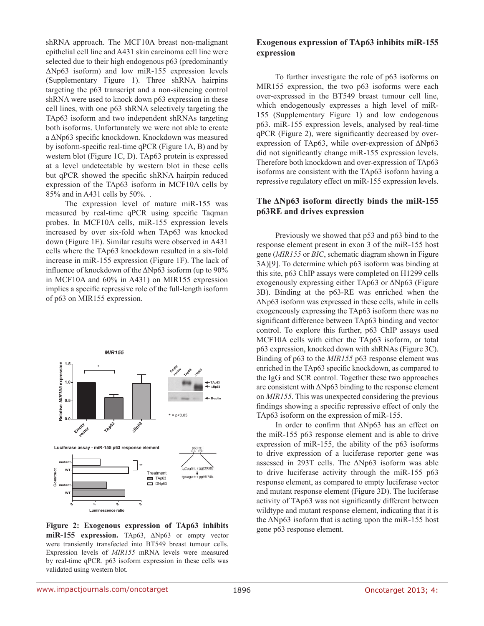shRNA approach. The MCF10A breast non-malignant epithelial cell line and A431 skin carcinoma cell line were selected due to their high endogenous p63 (predominantly ΔNp63 isoform) and low miR-155 expression levels (Supplementary Figure 1). Three shRNA hairpins targeting the p63 transcript and a non-silencing control shRNA were used to knock down p63 expression in these cell lines, with one p63 shRNA selectively targeting the TAp63 isoform and two independent shRNAs targeting both isoforms. Unfortunately we were not able to create a ΔNp63 specific knockdown. Knockdown was measured by isoform-specific real-time qPCR (Figure 1A, B) and by western blot (Figure 1C, D). TAp63 protein is expressed at a level undetectable by western blot in these cells but qPCR showed the specific shRNA hairpin reduced expression of the TAp63 isoform in MCF10A cells by 85% and in A431 cells by 50%. .

The expression level of mature miR-155 was measured by real-time qPCR using specific Taqman probes. In MCF10A cells, miR-155 expression levels increased by over six-fold when TAp63 was knocked down (Figure 1E). Similar results were observed in A431 cells where the TAp63 knockdown resulted in a six-fold increase in miR-155 expression (Figure 1F). The lack of influence of knockdown of the ΔNp63 isoform (up to 90% in MCF10A and 60% in A431) on MIR155 expression implies a specific repressive role of the full-length isoform of p63 on MIR155 expression.



Figure 2: Exogenous expression of TAp63 inhibits seeme p63 response element. **miR-155 expression.** TAp63, ΔNp63 or empty vector were transiently transfected into BT549 breast tumour cells. Expression levels of *MIR155* mRNA levels were measured by real-time qPCR. p63 isoform expression in these cells was validated using western blot.

#### **Exogenous expression of TAp63 inhibits miR-155 expression**

To further investigate the role of p63 isoforms on MIR155 expression, the two p63 isoforms were each over-expressed in the BT549 breast tumour cell line, which endogenously expresses a high level of miR-155 (Supplementary Figure 1) and low endogenous p63. miR-155 expression levels, analysed by real-time qPCR (Figure 2), were significantly decreased by overexpression of TAp63, while over-expression of ΔNp63 did not significantly change miR-155 expression levels. Therefore both knockdown and over-expression of TAp63 isoforms are consistent with the TAp63 isoform having a repressive regulatory effect on miR-155 expression levels.

#### **The ΔNp63 isoform directly binds the miR-155 p63RE and drives expression**

Previously we showed that p53 and p63 bind to the response element present in exon 3 of the miR-155 host gene (*MIR155* or *BIC*, schematic diagram shown in Figure 3A)[9]. To determine which p63 isoform was binding at this site, p63 ChIP assays were completed on H1299 cells exogenously expressing either TAp63 or ΔNp63 (Figure 3B). Binding at the p63-RE was enriched when the ΔNp63 isoform was expressed in these cells, while in cells exogeneously expressing the TAp63 isoform there was no significant difference between TAp63 binding and vector control. To explore this further, p63 ChIP assays used MCF10A cells with either the TAp63 isoform, or total p63 expression, knocked down with shRNAs (Figure 3C). Binding of p63 to the *MIR155* p63 response element was enriched in the TAp63 specific knockdown, as compared to the IgG and SCR control. Together these two approaches are consistent with ΔNp63 binding to the response element on *MIR155*. This was unexpected considering the previous findings showing a specific repressive effect of only the TAp63 isoform on the expression of miR-155.

In order to confirm that ΔNp63 has an effect on the miR-155 p63 response element and is able to drive expression of miR-155, the ability of the p63 isoforms to drive expression of a luciferase reporter gene was assessed in 293T cells. The ΔNp63 isoform was able to drive luciferase activity through the miR-155 p63 response element, as compared to empty luciferase vector and mutant response element (Figure 3D). The luciferase activity of TAp63 was not significantly different between wildtype and mutant response element, indicating that it is the  $\Delta$ Np63 isoform that is acting upon the miR-155 host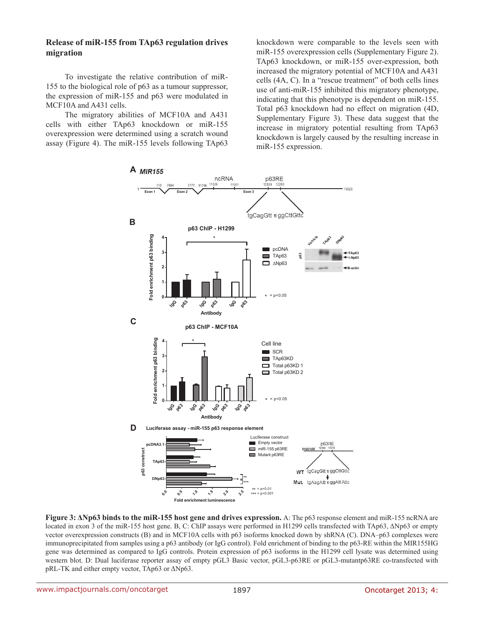#### **Release of miR-155 from TAp63 regulation drives migration**

To investigate the relative contribution of miR-155 to the biological role of p63 as a tumour suppressor, the expression of miR-155 and p63 were modulated in MCF10A and A431 cells.

The migratory abilities of MCF10A and A431 cells with either TAp63 knockdown or miR-155 overexpression were determined using a scratch wound assay (Figure 4). The miR-155 levels following TAp63 knockdown were comparable to the levels seen with miR-155 overexpression cells (Supplementary Figure 2). TAp63 knockdown, or miR-155 over-expression, both increased the migratory potential of MCF10A and A431 cells (4A, C). In a "rescue treatment" of both cells lines use of anti-miR-155 inhibited this migratory phenotype, indicating that this phenotype is dependent on miR-155. Total p63 knockdown had no effect on migration (4D, Supplementary Figure 3). These data suggest that the increase in migratory potential resulting from TAp63 knockdown is largely caused by the resulting increase in miR-155 expression.



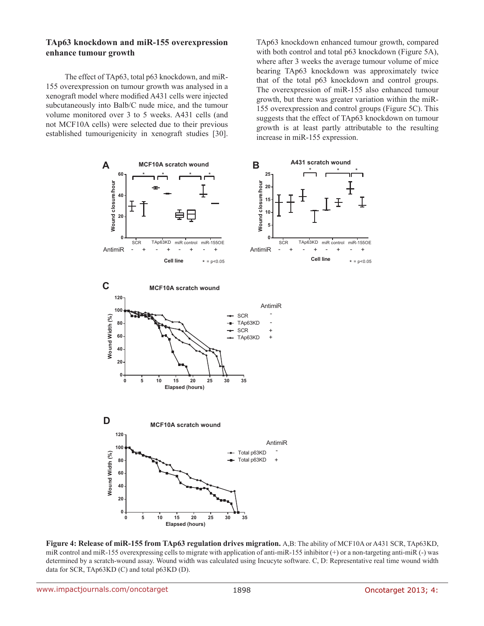#### **TAp63 knockdown and miR-155 overexpression enhance tumour growth**

The effect of TAp63, total p63 knockdown, and miR-155 overexpression on tumour growth was analysed in a xenograft model where modified A431 cells were injected subcutaneously into Balb/C nude mice, and the tumour volume monitored over 3 to 5 weeks. A431 cells (and not MCF10A cells) were selected due to their previous established tumourigenicity in xenograft studies [30]. TAp63 knockdown enhanced tumour growth, compared with both control and total p63 knockdown (Figure 5A), where after 3 weeks the average tumour volume of mice bearing TAp63 knockdown was approximately twice that of the total p63 knockdown and control groups. The overexpression of miR-155 also enhanced tumour growth, but there was greater variation within the miR-155 overexpression and control groups (Figure 5C). This suggests that the effect of TAp63 knockdown on tumour growth is at least partly attributable to the resulting increase in miR-155 expression.



**Figure 4: Release of miR-155 from TAp63 regulation drives migration.** A,B: The ability of MCF10A or A431 SCR, TAp63KD, miR control and miR-155 overexpressing cells to migrate with application of anti-miR-155 inhibitor (+) or a non-targeting anti-miR (-) was determined by a scratch-wound assay. Wound width was calculated using Incucyte software. C, D: Representative real time wound width data for SCR, TAp63KD (C) and total p63KD (D).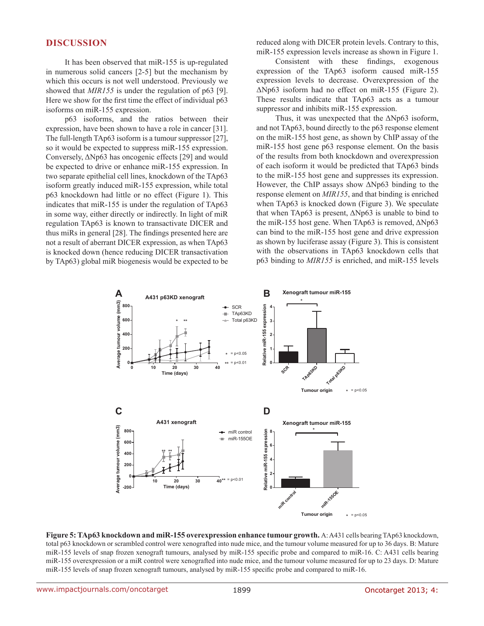#### **DISCUSSION**

It has been observed that miR-155 is up-regulated in numerous solid cancers [2-5] but the mechanism by which this occurs is not well understood. Previously we showed that *MIR155* is under the regulation of p63 [9]. Here we show for the first time the effect of individual p63 isoforms on miR-155 expression.

p63 isoforms, and the ratios between their expression, have been shown to have a role in cancer [31]. The full-length TAp63 isoform is a tumour suppressor [27], so it would be expected to suppress miR-155 expression. Conversely, ΔNp63 has oncogenic effects [29] and would be expected to drive or enhance miR-155 expression. In two separate epithelial cell lines, knockdown of the TAp63 isoform greatly induced miR-155 expression, while total p63 knockdown had little or no effect (Figure 1). This indicates that miR-155 is under the regulation of TAp63 in some way, either directly or indirectly. In light of miR regulation TAp63 is known to transactivate DICER and thus miRs in general [28]. The findings presented here are not a result of aberrant DICER expression, as when TAp63 is knocked down (hence reducing DICER transactivation by TAp63) global miR biogenesis would be expected to be reduced along with DICER protein levels. Contrary to this, miR-155 expression levels increase as shown in Figure 1.

Consistent with these findings, exogenous expression of the TAp63 isoform caused miR-155 expression levels to decrease. Overexpression of the ΔNp63 isoform had no effect on miR-155 (Figure 2). These results indicate that TAp63 acts as a tumour suppressor and inhibits miR-155 expression.

Thus, it was unexpected that the  $\Delta Np63$  isoform, and not TAp63, bound directly to the p63 response element on the miR-155 host gene, as shown by ChIP assay of the miR-155 host gene p63 response element. On the basis of the results from both knockdown and overexpression of each isoform it would be predicted that TAp63 binds to the miR-155 host gene and suppresses its expression. However, the ChIP assays show ΔNp63 binding to the response element on *MIR155*, and that binding is enriched when TAp63 is knocked down (Figure 3). We speculate that when TAp63 is present, ΔNp63 is unable to bind to the miR-155 host gene. When TAp63 is removed, ΔNp63 can bind to the miR-155 host gene and drive expression as shown by luciferase assay (Figure 3). This is consistent with the observations in TAp63 knockdown cells that p63 binding to *MIR155* is enriched, and miR-155 levels



**Figure 5: TAp63 knockdown and miR-155 overexpression enhance tumour growth.** A: A431 cells bearing TAp63 knockdown, total p63 knockdown or scrambled control were xenografted into nude mice, and the tumour volume measured for up to 36 days. B: Mature miR-155 levels of snap frozen xenograft tumours, analysed by miR-155 specific probe and compared to miR-16. C: A431 cells bearing miR-155 overexpression or a miR control were xenografted into nude mice, and the tumour volume measured for up to 23 days. D: Mature miR-155 levels of snap frozen xenograft tumours, analysed by miR-155 specific probe and compared to miR-16.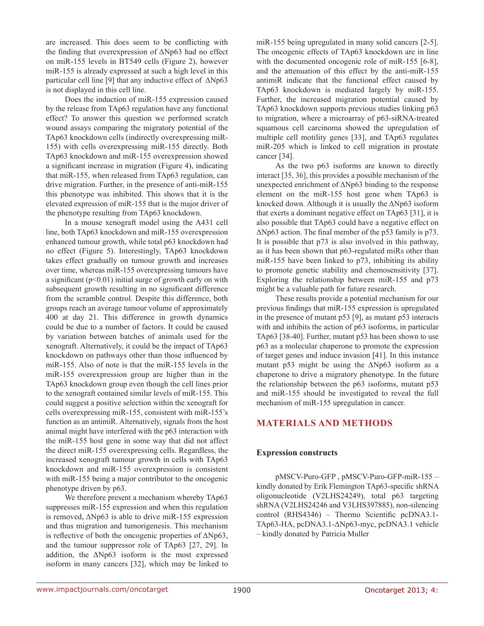are increased. This does seem to be conflicting with the finding that overexpression of ΔNp63 had no effect on miR-155 levels in BT549 cells (Figure 2), however miR-155 is already expressed at such a high level in this particular cell line [9] that any inductive effect of ΔNp63 is not displayed in this cell line.

Does the induction of miR-155 expression caused by the release from TAp63 regulation have any functional effect? To answer this question we performed scratch wound assays comparing the migratory potential of the TAp63 knockdown cells (indirectly overexpressing miR-155) with cells overexpressing miR-155 directly. Both TAp63 knockdown and miR-155 overexpression showed a significant increase in migration (Figure 4), indicating that miR-155, when released from TAp63 regulation, can drive migration. Further, in the presence of anti-miR-155 this phenotype was inhibited. This shows that it is the elevated expression of miR-155 that is the major driver of the phenotype resulting from TAp63 knockdown.

In a mouse xenograft model using the A431 cell line, both TAp63 knockdown and miR-155 overexpression enhanced tumour growth, while total p63 knockdown had no effect (Figure 5). Interestingly, TAp63 knockdown takes effect gradually on tumour growth and increases over time, whereas miR-155 overexpressing tumours have a significant  $(p<0.01)$  initial surge of growth early on with subsequent growth resulting in no significant difference from the scramble control. Despite this difference, both groups reach an average tumour volume of approximately 400 at day 21. This difference in growth dynamics could be due to a number of factors. It could be caused by variation between batches of animals used for the xenograft. Alternatively, it could be the impact of TAp63 knockdown on pathways other than those influenced by miR-155. Also of note is that the miR-155 levels in the miR-155 overexpression group are higher than in the TAp63 knockdown group even though the cell lines prior to the xenograft contained similar levels of miR-155. This could suggest a positive selection within the xenograft for cells overexpressing miR-155, consistent with miR-155's function as an antimiR. Alternatively, signals from the host animal might have interfered with the p63 interaction with the miR-155 host gene in some way that did not affect the direct miR-155 overexpressing cells. Regardless, the increased xenograft tumour growth in cells with TAp63 knockdown and miR-155 overexpression is consistent with miR-155 being a major contributor to the oncogenic phenotype driven by p63.

We therefore present a mechanism whereby TAp63 suppresses miR-155 expression and when this regulation is removed, ΔNp63 is able to drive miR-155 expression and thus migration and tumorigenesis. This mechanism is reflective of both the oncogenic properties of  $\Delta Np63$ , and the tumour suppressor role of TAp63 [27, 29]. In addition, the  $\Delta Np63$  isoform is the most expressed isoform in many cancers [32], which may be linked to

miR-155 being upregulated in many solid cancers [2-5]. The oncogenic effects of TAp63 knockdown are in line with the documented oncogenic role of miR-155 [6-8], and the attenuation of this effect by the anti-miR-155 antimiR indicate that the functional effect caused by TAp63 knockdown is mediated largely by miR-155. Further, the increased migration potential caused by TAp63 knockdown supports previous studies linking p63 to migration, where a microarray of p63-siRNA-treated squamous cell carcinoma showed the upregulation of multiple cell motility genes [33], and TAp63 regulates miR-205 which is linked to cell migration in prostate cancer [34].

As the two p63 isoforms are known to directly interact [35, 36], this provides a possible mechanism of the unexpected enrichment of ΔNp63 binding to the response element on the miR-155 host gene when TAp63 is knocked down. Although it is usually the ΔNp63 isoform that exerts a dominant negative effect on TAp63 [31], it is also possible that TAp63 could have a negative effect on ΔNp63 action. The final member of the p53 family is p73. It is possible that p73 is also involved in this pathway, as it has been shown that p63-regulated miRs other than miR-155 have been linked to p73, inhibiting its ability to promote genetic stability and chemosensitivity [37]. Exploring the relationship between miR-155 and p73 might be a valuable path for future research.

These results provide a potential mechanism for our previous findings that miR-155 expression is upregulated in the presence of mutant p53 [9], as mutant p53 interacts with and inhibits the action of  $p63$  isoforms, in particular TAp63 [38-40]. Further, mutant p53 has been shown to use p63 as a molecular chaperone to promote the expression of target genes and induce invasion [41]. In this instance mutant p53 might be using the ΔNp63 isoform as a chaperone to drive a migratory phenotype. In the future the relationship between the p63 isoforms, mutant p53 and miR-155 should be investigated to reveal the full mechanism of miR-155 upregulation in cancer.

## **MATERIALS AND METHODS**

#### **Expression constructs**

pMSCV-Puro-GFP , pMSCV-Puro-GFP-miR-155 – kindly donated by Erik Flemington TAp63-specific shRNA oligonucleotide (V2LHS24249), total p63 targeting shRNA (V2LHS24246 and V3LHS397885), non-silencing control (RHS4346) – Thermo Scientific pcDNA3.1- TAp63-HA, pcDNA3.1-ΔNp63-myc, pcDNA3.1 vehicle – kindly donated by Patricia Muller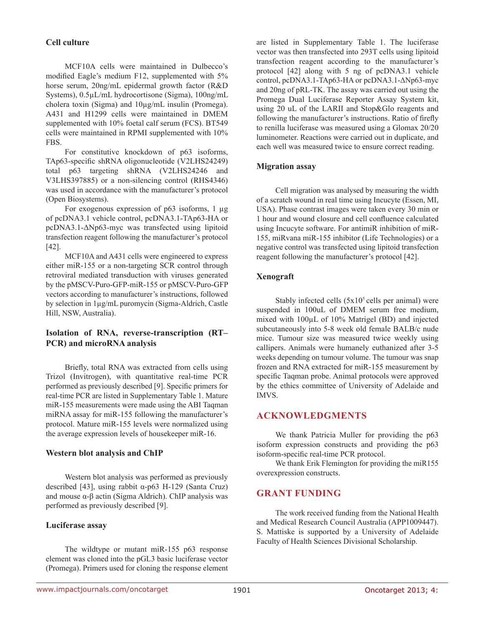#### **Cell culture**

MCF10A cells were maintained in Dulbecco's modified Eagle's medium F12, supplemented with 5% horse serum, 20ng/mL epidermal growth factor (R&D Systems), 0.5µL/mL hydrocortisone (Sigma), 100ng/mL cholera toxin (Sigma) and 10µg/mL insulin (Promega). A431 and H1299 cells were maintained in DMEM supplemented with 10% foetal calf serum (FCS). BT549 cells were maintained in RPMI supplemented with 10% FBS.

For constitutive knockdown of p63 isoforms, TAp63-specific shRNA oligonucleotide (V2LHS24249) total p63 targeting shRNA (V2LHS24246 and V3LHS397885) or a non-silencing control (RHS4346) was used in accordance with the manufacturer's protocol (Open Biosystems).

For exogenous expression of p63 isoforms, 1 µg of pcDNA3.1 vehicle control, pcDNA3.1-TAp63-HA or pcDNA3.1-ΔNp63-myc was transfected using lipitoid transfection reagent following the manufacturer's protocol [42].

MCF10A and A431 cells were engineered to express either miR-155 or a non-targeting SCR control through retroviral mediated transduction with viruses generated by the pMSCV-Puro-GFP-miR-155 or pMSCV-Puro-GFP vectors according to manufacturer's instructions, followed by selection in 1µg/mL puromycin (Sigma-Aldrich, Castle Hill, NSW, Australia).

## **Isolation of RNA, reverse-transcription (RT– PCR) and microRNA analysis**

Briefly, total RNA was extracted from cells using Trizol (Invitrogen), with quantitative real-time PCR performed as previously described [9]. Specific primers for real-time PCR are listed in Supplementary Table 1. Mature miR-155 measurements were made using the ABI Taqman miRNA assay for miR-155 following the manufacturer's protocol. Mature miR-155 levels were normalized using the average expression levels of housekeeper miR-16.

#### **Western blot analysis and ChIP**

Western blot analysis was performed as previously described [43], using rabbit α-p63 H-129 (Santa Cruz) and mouse  $\alpha$ - $\beta$  actin (Sigma Aldrich). ChIP analysis was performed as previously described [9].

#### **Luciferase assay**

The wildtype or mutant miR-155 p63 response element was cloned into the pGL3 basic luciferase vector (Promega). Primers used for cloning the response element are listed in Supplementary Table 1. The luciferase vector was then transfected into 293T cells using lipitoid transfection reagent according to the manufacturer's protocol [42] along with 5 ng of pcDNA3.1 vehicle control, pcDNA3.1-TAp63-HA or pcDNA3.1-ΔNp63-myc and 20ng of pRL-TK. The assay was carried out using the Promega Dual Luciferase Reporter Assay System kit, using 20 uL of the LARII and Stop&Glo reagents and following the manufacturer's instructions. Ratio of firefly to renilla luciferase was measured using a Glomax 20/20 luminometer. Reactions were carried out in duplicate, and each well was measured twice to ensure correct reading.

### **Migration assay**

Cell migration was analysed by measuring the width of a scratch wound in real time using Incucyte (Essen, MI, USA). Phase contrast images were taken every 30 min or 1 hour and wound closure and cell confluence calculated using Incucyte software. For antimiR inhibition of miR-155, miRvana miR-155 inhibitor (Life Technologies) or a negative control was transfected using lipitoid transfection reagent following the manufacturer's protocol [42].

### **Xenograft**

Stably infected cells  $(5x10<sup>5</sup>$  cells per animal) were suspended in 100uL of DMEM serum free medium, mixed with 100µL of 10% Matrigel (BD) and injected subcutaneously into 5-8 week old female BALB/c nude mice. Tumour size was measured twice weekly using callipers. Animals were humanely euthanized after 3-5 weeks depending on tumour volume. The tumour was snap frozen and RNA extracted for miR-155 measurement by specific Taqman probe. Animal protocols were approved by the ethics committee of University of Adelaide and IMVS.

### **ACKNOWLEDGMENTS**

We thank Patricia Muller for providing the p63 isoform expression constructs and providing the p63 isoform-specific real-time PCR protocol.

We thank Erik Flemington for providing the miR155 overexpression constructs.

### **GRANT FUNDING**

The work received funding from the National Health and Medical Research Council Australia (APP1009447). S. Mattiske is supported by a University of Adelaide Faculty of Health Sciences Divisional Scholarship.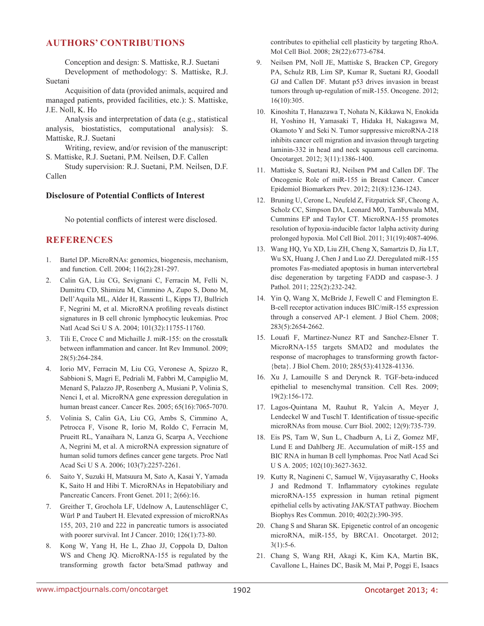## **AUTHORS' CONTRIBUTIONS**

Conception and design: S. Mattiske, R.J. Suetani Development of methodology: S. Mattiske, R.J. Suetani

Acquisition of data (provided animals, acquired and managed patients, provided facilities, etc.): S. Mattiske, J.E. Noll, K. Ho

Analysis and interpretation of data (e.g., statistical analysis, biostatistics, computational analysis): S. Mattiske, R.J. Suetani

Writing, review, and/or revision of the manuscript: S. Mattiske, R.J. Suetani, P.M. Neilsen, D.F. Callen

Study supervision: R.J. Suetani, P.M. Neilsen, D.F. Callen

### **Disclosure of Potential Conflicts of Interest**

No potential conflicts of interest were disclosed.

## **REFERENCES**

- 1. Bartel DP. MicroRNAs: genomics, biogenesis, mechanism, and function. Cell. 2004; 116(2):281-297.
- 2. Calin GA, Liu CG, Sevignani C, Ferracin M, Felli N, Dumitru CD, Shimizu M, Cimmino A, Zupo S, Dono M, Dell'Aquila ML, Alder H, Rassenti L, Kipps TJ, Bullrich F, Negrini M, et al. MicroRNA profiling reveals distinct signatures in B cell chronic lymphocytic leukemias. Proc Natl Acad Sci U S A. 2004; 101(32):11755-11760.
- 3. Tili E, Croce C and Michaille J. miR-155: on the crosstalk between inflammation and cancer. Int Rev Immunol. 2009; 28(5):264-284.
- 4. Iorio MV, Ferracin M, Liu CG, Veronese A, Spizzo R, Sabbioni S, Magri E, Pedriali M, Fabbri M, Campiglio M, Menard S, Palazzo JP, Rosenberg A, Musiani P, Volinia S, Nenci I, et al. MicroRNA gene expression deregulation in human breast cancer. Cancer Res. 2005; 65(16):7065-7070.
- 5. Volinia S, Calin GA, Liu CG, Ambs S, Cimmino A, Petrocca F, Visone R, Iorio M, Roldo C, Ferracin M, Prueitt RL, Yanaihara N, Lanza G, Scarpa A, Vecchione A, Negrini M, et al. A microRNA expression signature of human solid tumors defines cancer gene targets. Proc Natl Acad Sci U S A. 2006; 103(7):2257-2261.
- 6. Saito Y, Suzuki H, Matsuura M, Sato A, Kasai Y, Yamada K, Saito H and Hibi T. MicroRNAs in Hepatobiliary and Pancreatic Cancers. Front Genet. 2011; 2(66):16.
- 7. Greither T, Grochola LF, Udelnow A, Lautenschläger C, Würl P and Taubert H. Elevated expression of microRNAs 155, 203, 210 and 222 in pancreatic tumors is associated with poorer survival. Int J Cancer. 2010; 126(1):73-80.
- 8. Kong W, Yang H, He L, Zhao JJ, Coppola D, Dalton WS and Cheng JQ. MicroRNA-155 is regulated by the transforming growth factor beta/Smad pathway and

contributes to epithelial cell plasticity by targeting RhoA. Mol Cell Biol. 2008; 28(22):6773-6784.

- 9. Neilsen PM, Noll JE, Mattiske S, Bracken CP, Gregory PA, Schulz RB, Lim SP, Kumar R, Suetani RJ, Goodall GJ and Callen DF. Mutant p53 drives invasion in breast tumors through up-regulation of miR-155. Oncogene. 2012; 16(10):305.
- 10. Kinoshita T, Hanazawa T, Nohata N, Kikkawa N, Enokida H, Yoshino H, Yamasaki T, Hidaka H, Nakagawa M, Okamoto Y and Seki N. Tumor suppressive microRNA-218 inhibits cancer cell migration and invasion through targeting laminin-332 in head and neck squamous cell carcinoma. Oncotarget. 2012; 3(11):1386-1400.
- 11. Mattiske S, Suetani RJ, Neilsen PM and Callen DF. The Oncogenic Role of miR-155 in Breast Cancer. Cancer Epidemiol Biomarkers Prev. 2012; 21(8):1236-1243.
- 12. Bruning U, Cerone L, Neufeld Z, Fitzpatrick SF, Cheong A, Scholz CC, Simpson DA, Leonard MO, Tambuwala MM, Cummins EP and Taylor CT. MicroRNA-155 promotes resolution of hypoxia-inducible factor 1alpha activity during prolonged hypoxia. Mol Cell Biol. 2011; 31(19):4087-4096.
- 13. Wang HQ, Yu XD, Liu ZH, Cheng X, Samartzis D, Jia LT, Wu SX, Huang J, Chen J and Luo ZJ. Deregulated miR-155 promotes Fas-mediated apoptosis in human intervertebral disc degeneration by targeting FADD and caspase-3. J Pathol. 2011; 225(2):232-242.
- 14. Yin Q, Wang X, McBride J, Fewell C and Flemington E. B-cell receptor activation induces BIC/miR-155 expression through a conserved AP-1 element. J Biol Chem. 2008; 283(5):2654-2662.
- 15. Louafi F, Martinez-Nunez RT and Sanchez-Elsner T. MicroRNA-155 targets SMAD2 and modulates the response of macrophages to transforming growth factor- {beta}. J Biol Chem. 2010; 285(53):41328-41336.
- 16. Xu J, Lamouille S and Derynck R. TGF-beta-induced epithelial to mesenchymal transition. Cell Res. 2009; 19(2):156-172.
- 17. Lagos-Quintana M, Rauhut R, Yalcin A, Meyer J, Lendeckel W and Tuschl T. Identification of tissue-specific microRNAs from mouse. Curr Biol. 2002; 12(9):735-739.
- 18. Eis PS, Tam W, Sun L, Chadburn A, Li Z, Gomez MF, Lund E and Dahlberg JE. Accumulation of miR-155 and BIC RNA in human B cell lymphomas. Proc Natl Acad Sci U S A. 2005; 102(10):3627-3632.
- 19. Kutty R, Nagineni C, Samuel W, Vijayasarathy C, Hooks J and Redmond T. Inflammatory cytokines regulate microRNA-155 expression in human retinal pigment epithelial cells by activating JAK/STAT pathway. Biochem Biophys Res Commun. 2010; 402(2):390-395.
- 20. Chang S and Sharan SK. Epigenetic control of an oncogenic microRNA, miR-155, by BRCA1. Oncotarget. 2012; 3(1):5-6.
- 21. Chang S, Wang RH, Akagi K, Kim KA, Martin BK, Cavallone L, Haines DC, Basik M, Mai P, Poggi E, Isaacs